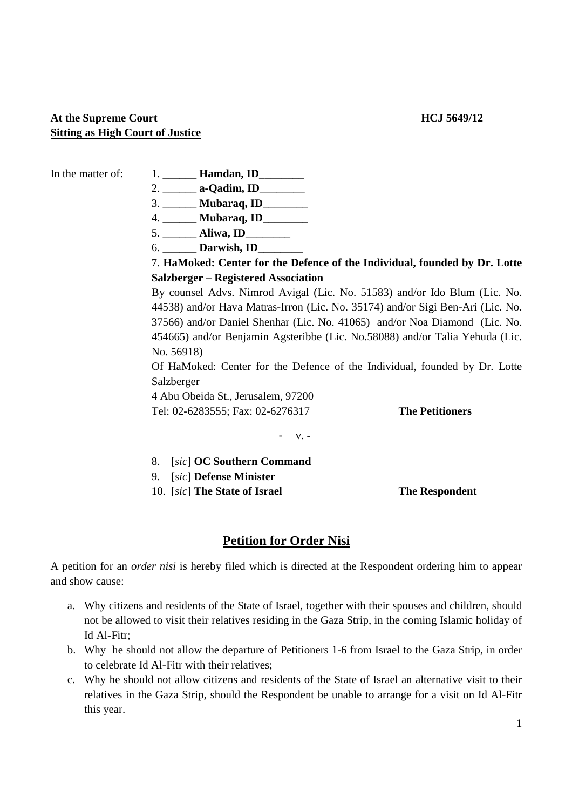## At the Supreme Court **HCJ** 5649/12 **Sitting as High Court of Justice**

- In the matter of: 1. **Hamdan, ID** 
	- 2. \_\_\_\_\_\_ **a-Qadim, ID**\_\_\_\_\_\_\_\_
	- 3. \_\_\_\_\_\_ **Mubaraq, ID**\_\_\_\_\_\_\_\_
	- 4. \_\_\_\_\_\_ **Mubaraq, ID**\_\_\_\_\_\_\_\_
	- 5. \_\_\_\_\_\_ **Aliwa, ID**\_\_\_\_\_\_\_\_
	- 6. \_\_\_\_\_\_ **Darwish, ID**\_\_\_\_\_\_\_\_

## 7. **HaMoked: Center for the Defence of the Individual, founded by Dr. Lotte Salzberger – Registered Association**

 By counsel Advs. Nimrod Avigal (Lic. No. 51583) and/or Ido Blum (Lic. No. 44538) and/or Hava Matras-Irron (Lic. No. 35174) and/or Sigi Ben-Ari (Lic. No. 37566) and/or Daniel Shenhar (Lic. No. 41065) and/or Noa Diamond (Lic. No. 454665) and/or Benjamin Agsteribbe (Lic. No.58088) and/or Talia Yehuda (Lic. No. 56918)

Of HaMoked: Center for the Defence of the Individual, founded by Dr. Lotte Salzberger

4 Abu Obeida St., Jerusalem, 97200 Tel: 02-6283555; Fax: 02-6276317 **The Petitioners**

- v. -

- 8.[*sic*] **OC Southern Command**
- 9.[*sic*] **Defense Minister**
- **10.** *[sic*] **The State of Israel The Respondent**

## **Petition for Order Nisi**

A petition for an *order nisi* is hereby filed which is directed at the Respondent ordering him to appear and show cause:

- a. Why citizens and residents of the State of Israel, together with their spouses and children, should not be allowed to visit their relatives residing in the Gaza Strip, in the coming Islamic holiday of Id Al-Fitr;
- b. Why he should not allow the departure of Petitioners 1-6 from Israel to the Gaza Strip, in order to celebrate Id Al-Fitr with their relatives;
- c. Why he should not allow citizens and residents of the State of Israel an alternative visit to their relatives in the Gaza Strip, should the Respondent be unable to arrange for a visit on Id Al-Fitr this year.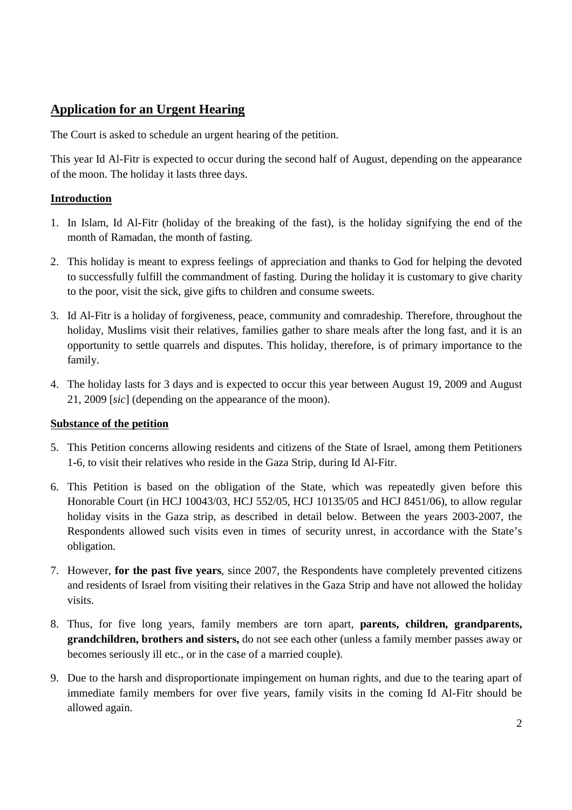# **Application for an Urgent Hearing**

The Court is asked to schedule an urgent hearing of the petition.

This year Id Al-Fitr is expected to occur during the second half of August, depending on the appearance of the moon. The holiday it lasts three days.

## **Introduction**

- 1. In Islam, Id Al-Fitr (holiday of the breaking of the fast), is the holiday signifying the end of the month of Ramadan, the month of fasting.
- 2. This holiday is meant to express feelings of appreciation and thanks to God for helping the devoted to successfully fulfill the commandment of fasting. During the holiday it is customary to give charity to the poor, visit the sick, give gifts to children and consume sweets.
- 3. Id Al-Fitr is a holiday of forgiveness, peace, community and comradeship. Therefore, throughout the holiday, Muslims visit their relatives, families gather to share meals after the long fast, and it is an opportunity to settle quarrels and disputes. This holiday, therefore, is of primary importance to the family.
- 4. The holiday lasts for 3 days and is expected to occur this year between August 19, 2009 and August 21, 2009 [*sic*] (depending on the appearance of the moon).

## **Substance of the petition**

- 5. This Petition concerns allowing residents and citizens of the State of Israel, among them Petitioners 1-6, to visit their relatives who reside in the Gaza Strip, during Id Al-Fitr.
- 6. This Petition is based on the obligation of the State, which was repeatedly given before this Honorable Court (in HCJ 10043/03, HCJ 552/05, HCJ 10135/05 and HCJ 8451/06), to allow regular holiday visits in the Gaza strip, as described in detail below. Between the years 2003-2007, the Respondents allowed such visits even in times of security unrest, in accordance with the State's obligation.
- 7. However, **for the past five years**, since 2007, the Respondents have completely prevented citizens and residents of Israel from visiting their relatives in the Gaza Strip and have not allowed the holiday visits.
- 8. Thus, for five long years, family members are torn apart, **parents, children, grandparents, grandchildren, brothers and sisters,** do not see each other (unless a family member passes away or becomes seriously ill etc., or in the case of a married couple).
- 9. Due to the harsh and disproportionate impingement on human rights, and due to the tearing apart of immediate family members for over five years, family visits in the coming Id Al-Fitr should be allowed again.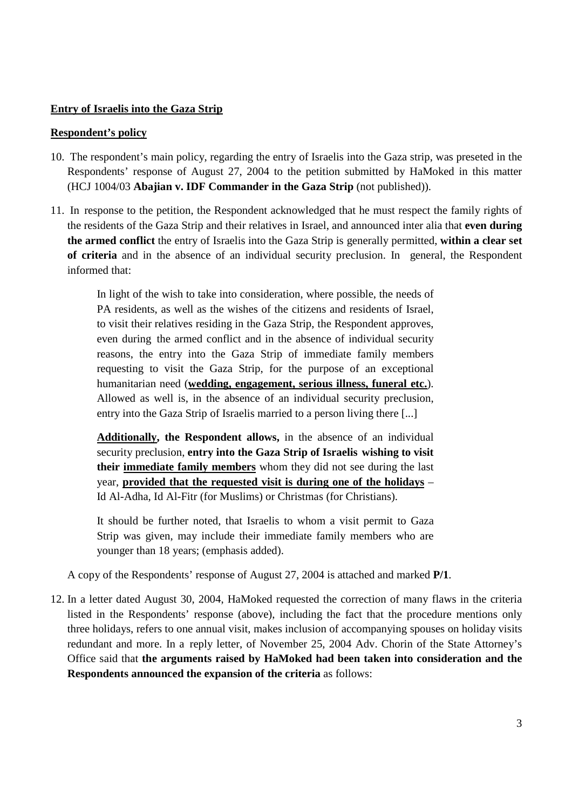## **Entry of Israelis into the Gaza Strip**

#### **Respondent's policy**

- 10. The respondent's main policy, regarding the entry of Israelis into the Gaza strip, was preseted in the Respondents' response of August 27, 2004 to the petition submitted by HaMoked in this matter (HCJ 1004/03 **Abajian v. IDF Commander in the Gaza Strip** (not published)).
- 11. In response to the petition, the Respondent acknowledged that he must respect the family rights of the residents of the Gaza Strip and their relatives in Israel, and announced inter alia that **even during the armed conflict** the entry of Israelis into the Gaza Strip is generally permitted, **within a clear set of criteria** and in the absence of an individual security preclusion. In general, the Respondent informed that:

In light of the wish to take into consideration, where possible, the needs of PA residents, as well as the wishes of the citizens and residents of Israel, to visit their relatives residing in the Gaza Strip, the Respondent approves, even during the armed conflict and in the absence of individual security reasons, the entry into the Gaza Strip of immediate family members requesting to visit the Gaza Strip, for the purpose of an exceptional humanitarian need (**wedding, engagement, serious illness, funeral etc.**). Allowed as well is, in the absence of an individual security preclusion, entry into the Gaza Strip of Israelis married to a person living there [...]

**Additionally, the Respondent allows,** in the absence of an individual security preclusion, **entry into the Gaza Strip of Israelis wishing to visit their immediate family members** whom they did not see during the last year, **provided that the requested visit is during one of the holidays** – Id Al-Adha, Id Al-Fitr (for Muslims) or Christmas (for Christians).

It should be further noted, that Israelis to whom a visit permit to Gaza Strip was given, may include their immediate family members who are younger than 18 years; (emphasis added).

A copy of the Respondents' response of August 27, 2004 is attached and marked **P/1**.

12. In a letter dated August 30, 2004, HaMoked requested the correction of many flaws in the criteria listed in the Respondents' response (above), including the fact that the procedure mentions only three holidays, refers to one annual visit, makes inclusion of accompanying spouses on holiday visits redundant and more. In a reply letter, of November 25, 2004 Adv. Chorin of the State Attorney's Office said that **the arguments raised by HaMoked had been taken into consideration and the Respondents announced the expansion of the criteria** as follows: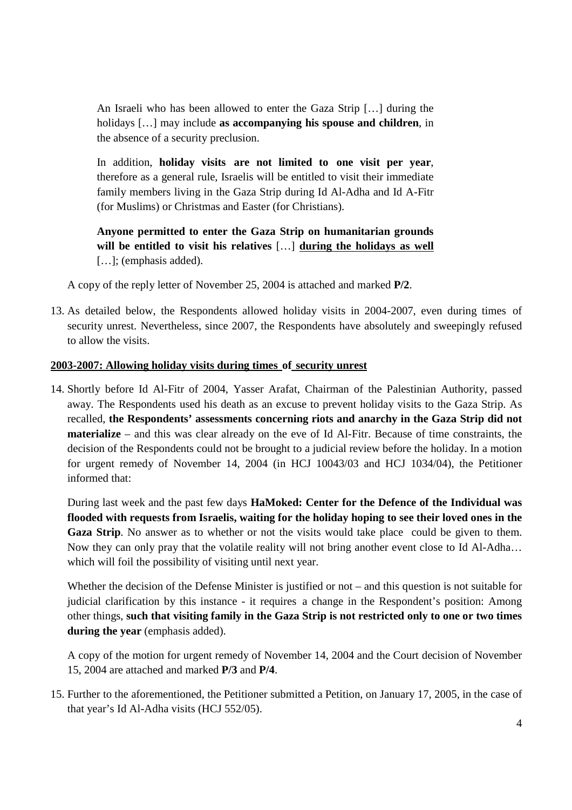An Israeli who has been allowed to enter the Gaza Strip […] during the holidays […] may include **as accompanying his spouse and children**, in the absence of a security preclusion.

In addition, **holiday visits are not limited to one visit per year**, therefore as a general rule, Israelis will be entitled to visit their immediate family members living in the Gaza Strip during Id Al-Adha and Id A-Fitr (for Muslims) or Christmas and Easter (for Christians).

**Anyone permitted to enter the Gaza Strip on humanitarian grounds will be entitled to visit his relatives** […] **during the holidays as well** [...]; (emphasis added).

A copy of the reply letter of November 25, 2004 is attached and marked **P/2**.

13. As detailed below, the Respondents allowed holiday visits in 2004-2007, even during times of security unrest. Nevertheless, since 2007, the Respondents have absolutely and sweepingly refused to allow the visits.

## **2003-2007: Allowing holiday visits during times of security unrest**

14. Shortly before Id Al-Fitr of 2004, Yasser Arafat, Chairman of the Palestinian Authority, passed away. The Respondents used his death as an excuse to prevent holiday visits to the Gaza Strip. As recalled, **the Respondents' assessments concerning riots and anarchy in the Gaza Strip did not materialize** – and this was clear already on the eve of Id Al-Fitr. Because of time constraints, the decision of the Respondents could not be brought to a judicial review before the holiday. In a motion for urgent remedy of November 14, 2004 (in HCJ 10043/03 and HCJ 1034/04), the Petitioner informed that:

During last week and the past few days **HaMoked: Center for the Defence of the Individual was flooded with requests from Israelis, waiting for the holiday hoping to see their loved ones in the Gaza Strip**. No answer as to whether or not the visits would take place could be given to them. Now they can only pray that the volatile reality will not bring another event close to Id Al-Adha… which will foil the possibility of visiting until next year.

Whether the decision of the Defense Minister is justified or not – and this question is not suitable for judicial clarification by this instance - it requires a change in the Respondent's position: Among other things, **such that visiting family in the Gaza Strip is not restricted only to one or two times during the year** (emphasis added).

A copy of the motion for urgent remedy of November 14, 2004 and the Court decision of November 15, 2004 are attached and marked **P/3** and **P/4**.

15. Further to the aforementioned, the Petitioner submitted a Petition, on January 17, 2005, in the case of that year's Id Al-Adha visits (HCJ 552/05).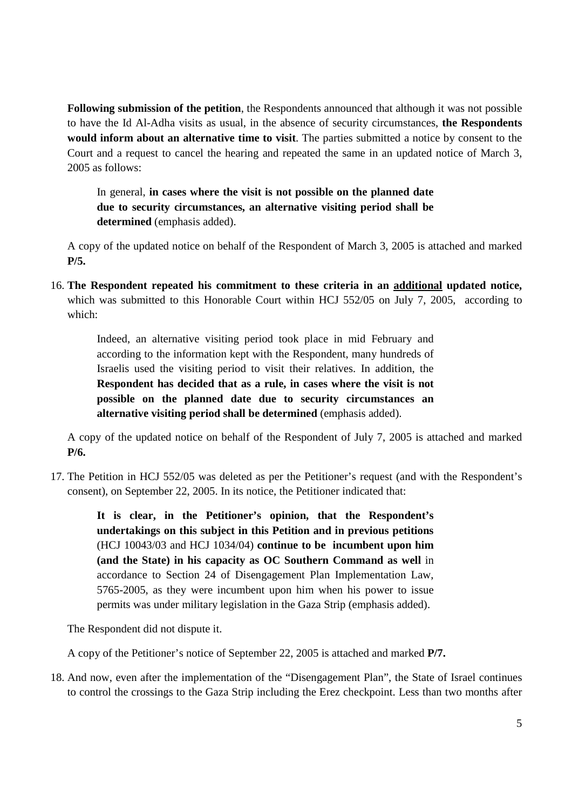**Following submission of the petition**, the Respondents announced that although it was not possible to have the Id Al-Adha visits as usual, in the absence of security circumstances, **the Respondents would inform about an alternative time to visit**. The parties submitted a notice by consent to the Court and a request to cancel the hearing and repeated the same in an updated notice of March 3, 2005 as follows:

In general, **in cases where the visit is not possible on the planned date due to security circumstances, an alternative visiting period shall be determined** (emphasis added).

A copy of the updated notice on behalf of the Respondent of March 3, 2005 is attached and marked **P/5.**

16. **The Respondent repeated his commitment to these criteria in an additional updated notice,**  which was submitted to this Honorable Court within HCJ 552/05 on July 7, 2005, according to which:

Indeed, an alternative visiting period took place in mid February and according to the information kept with the Respondent, many hundreds of Israelis used the visiting period to visit their relatives. In addition, the **Respondent has decided that as a rule, in cases where the visit is not possible on the planned date due to security circumstances an alternative visiting period shall be determined** (emphasis added).

A copy of the updated notice on behalf of the Respondent of July 7, 2005 is attached and marked **P/6.**

17. The Petition in HCJ 552/05 was deleted as per the Petitioner's request (and with the Respondent's consent), on September 22, 2005. In its notice, the Petitioner indicated that:

**It is clear, in the Petitioner's opinion, that the Respondent's undertakings on this subject in this Petition and in previous petitions**  (HCJ 10043/03 and HCJ 1034/04) **continue to be incumbent upon him (and the State) in his capacity as OC Southern Command as well** in accordance to Section 24 of Disengagement Plan Implementation Law, 5765-2005, as they were incumbent upon him when his power to issue permits was under military legislation in the Gaza Strip (emphasis added).

The Respondent did not dispute it.

A copy of the Petitioner's notice of September 22, 2005 is attached and marked **P/7.**

18. And now, even after the implementation of the "Disengagement Plan", the State of Israel continues to control the crossings to the Gaza Strip including the Erez checkpoint. Less than two months after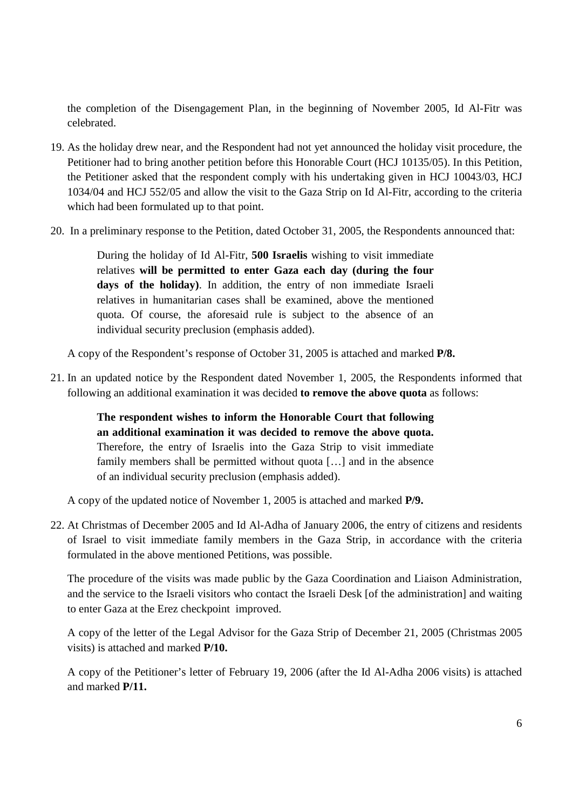the completion of the Disengagement Plan, in the beginning of November 2005, Id Al-Fitr was celebrated.

- 19. As the holiday drew near, and the Respondent had not yet announced the holiday visit procedure, the Petitioner had to bring another petition before this Honorable Court (HCJ 10135/05). In this Petition, the Petitioner asked that the respondent comply with his undertaking given in HCJ 10043/03, HCJ 1034/04 and HCJ 552/05 and allow the visit to the Gaza Strip on Id Al-Fitr, according to the criteria which had been formulated up to that point.
- 20. In a preliminary response to the Petition, dated October 31, 2005, the Respondents announced that:

During the holiday of Id Al-Fitr, **500 Israelis** wishing to visit immediate relatives **will be permitted to enter Gaza each day (during the four days of the holiday)**. In addition, the entry of non immediate Israeli relatives in humanitarian cases shall be examined, above the mentioned quota. Of course, the aforesaid rule is subject to the absence of an individual security preclusion (emphasis added).

A copy of the Respondent's response of October 31, 2005 is attached and marked **P/8.**

21. In an updated notice by the Respondent dated November 1, 2005, the Respondents informed that following an additional examination it was decided **to remove the above quota** as follows:

**The respondent wishes to inform the Honorable Court that following an additional examination it was decided to remove the above quota.** Therefore, the entry of Israelis into the Gaza Strip to visit immediate family members shall be permitted without quota […] and in the absence of an individual security preclusion (emphasis added).

A copy of the updated notice of November 1, 2005 is attached and marked **P/9.**

22. At Christmas of December 2005 and Id Al-Adha of January 2006, the entry of citizens and residents of Israel to visit immediate family members in the Gaza Strip, in accordance with the criteria formulated in the above mentioned Petitions, was possible.

The procedure of the visits was made public by the Gaza Coordination and Liaison Administration, and the service to the Israeli visitors who contact the Israeli Desk [of the administration] and waiting to enter Gaza at the Erez checkpoint improved.

A copy of the letter of the Legal Advisor for the Gaza Strip of December 21, 2005 (Christmas 2005 visits) is attached and marked **P/10.** 

A copy of the Petitioner's letter of February 19, 2006 (after the Id Al-Adha 2006 visits) is attached and marked **P/11.**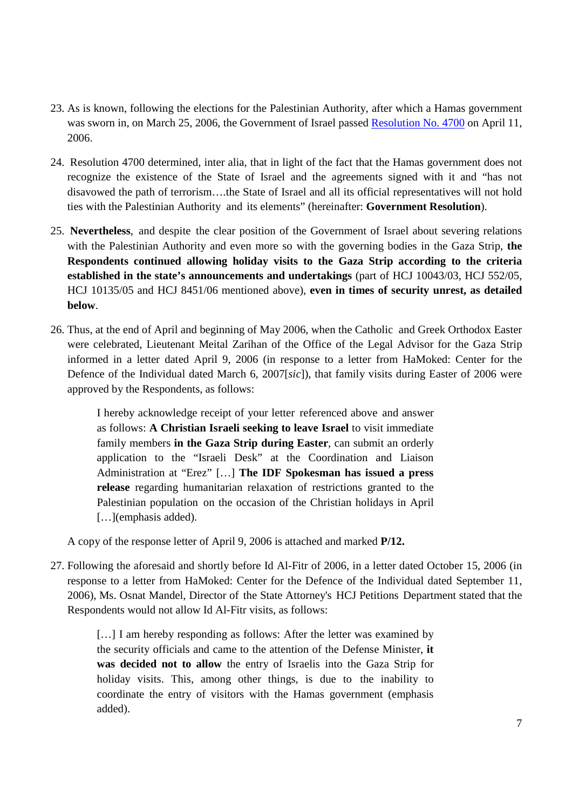- 23. As is known, following the elections for the Palestinian Authority, after which a Hamas government was sworn in, on March 25, 2006, the Government of Israel passed Resolution No. 4700 on April 11, 2006.
- 24. Resolution 4700 determined, inter alia, that in light of the fact that the Hamas government does not recognize the existence of the State of Israel and the agreements signed with it and "has not disavowed the path of terrorism….the State of Israel and all its official representatives will not hold ties with the Palestinian Authority and its elements" (hereinafter: **Government Resolution**).
- 25. **Nevertheless**, and despite the clear position of the Government of Israel about severing relations with the Palestinian Authority and even more so with the governing bodies in the Gaza Strip, **the Respondents continued allowing holiday visits to the Gaza Strip according to the criteria established in the state's announcements and undertakings** (part of HCJ 10043/03, HCJ 552/05, HCJ 10135/05 and HCJ 8451/06 mentioned above), **even in times of security unrest, as detailed below**.
- 26. Thus, at the end of April and beginning of May 2006, when the Catholic and Greek Orthodox Easter were celebrated, Lieutenant Meital Zarihan of the Office of the Legal Advisor for the Gaza Strip informed in a letter dated April 9, 2006 (in response to a letter from HaMoked: Center for the Defence of the Individual dated March 6, 2007[*sic*]), that family visits during Easter of 2006 were approved by the Respondents, as follows:

I hereby acknowledge receipt of your letter referenced above and answer as follows: **A Christian Israeli seeking to leave Israel** to visit immediate family members **in the Gaza Strip during Easter**, can submit an orderly application to the "Israeli Desk" at the Coordination and Liaison Administration at "Erez" […] **The IDF Spokesman has issued a press release** regarding humanitarian relaxation of restrictions granted to the Palestinian population on the occasion of the Christian holidays in April [...](emphasis added).

A copy of the response letter of April 9, 2006 is attached and marked **P/12.**

27. Following the aforesaid and shortly before Id Al-Fitr of 2006, in a letter dated October 15, 2006 (in response to a letter from HaMoked: Center for the Defence of the Individual dated September 11, 2006), Ms. Osnat Mandel, Director of the State Attorney's HCJ Petitions Department stated that the Respondents would not allow Id Al-Fitr visits, as follows:

[...] I am hereby responding as follows: After the letter was examined by the security officials and came to the attention of the Defense Minister, **it was decided not to allow** the entry of Israelis into the Gaza Strip for holiday visits. This, among other things, is due to the inability to coordinate the entry of visitors with the Hamas government (emphasis added).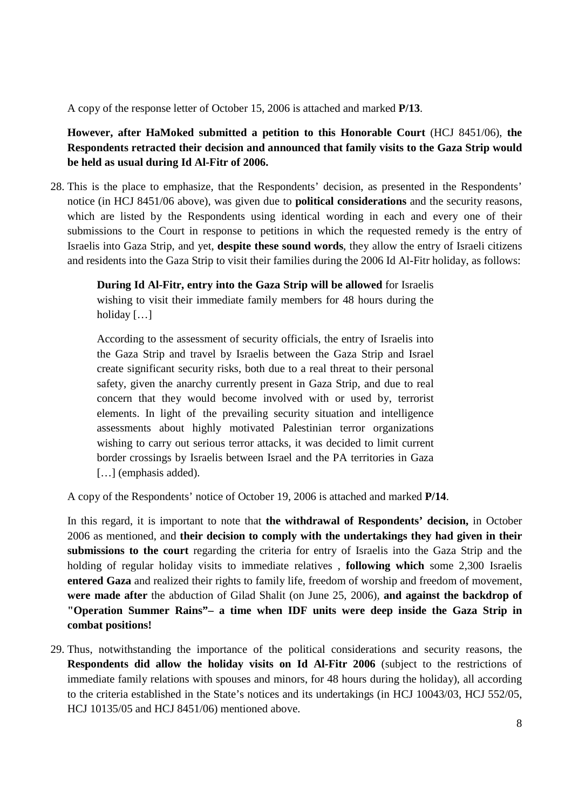A copy of the response letter of October 15, 2006 is attached and marked **P/13**.

**However, after HaMoked submitted a petition to this Honorable Court** (HCJ 8451/06), **the Respondents retracted their decision and announced that family visits to the Gaza Strip would be held as usual during Id Al-Fitr of 2006.**

28. This is the place to emphasize, that the Respondents' decision, as presented in the Respondents' notice (in HCJ 8451/06 above), was given due to **political considerations** and the security reasons, which are listed by the Respondents using identical wording in each and every one of their submissions to the Court in response to petitions in which the requested remedy is the entry of Israelis into Gaza Strip, and yet, **despite these sound words**, they allow the entry of Israeli citizens and residents into the Gaza Strip to visit their families during the 2006 Id Al-Fitr holiday, as follows:

**During Id Al-Fitr, entry into the Gaza Strip will be allowed** for Israelis wishing to visit their immediate family members for 48 hours during the holiday […]

According to the assessment of security officials, the entry of Israelis into the Gaza Strip and travel by Israelis between the Gaza Strip and Israel create significant security risks, both due to a real threat to their personal safety, given the anarchy currently present in Gaza Strip, and due to real concern that they would become involved with or used by, terrorist elements. In light of the prevailing security situation and intelligence assessments about highly motivated Palestinian terror organizations wishing to carry out serious terror attacks, it was decided to limit current border crossings by Israelis between Israel and the PA territories in Gaza [...] (emphasis added).

A copy of the Respondents' notice of October 19, 2006 is attached and marked **P/14**.

In this regard, it is important to note that **the withdrawal of Respondents' decision,** in October 2006 as mentioned, and **their decision to comply with the undertakings they had given in their submissions to the court** regarding the criteria for entry of Israelis into the Gaza Strip and the holding of regular holiday visits to immediate relatives , **following which** some 2,300 Israelis **entered Gaza** and realized their rights to family life, freedom of worship and freedom of movement, **were made after** the abduction of Gilad Shalit (on June 25, 2006), **and against the backdrop of "Operation Summer Rains"– a time when IDF units were deep inside the Gaza Strip in combat positions!**

29. Thus, notwithstanding the importance of the political considerations and security reasons, the **Respondents did allow the holiday visits on Id Al-Fitr 2006** (subject to the restrictions of immediate family relations with spouses and minors, for 48 hours during the holiday), all according to the criteria established in the State's notices and its undertakings (in HCJ 10043/03, HCJ 552/05, HCJ 10135/05 and HCJ 8451/06) mentioned above.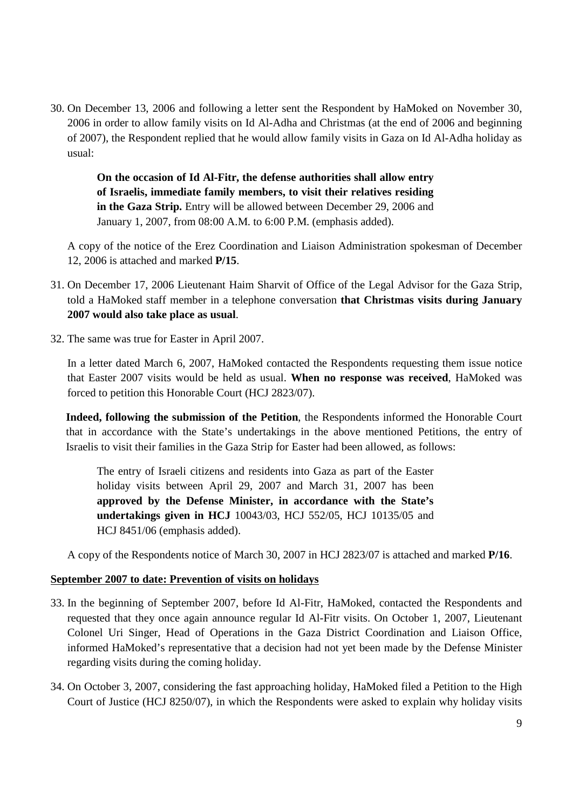30. On December 13, 2006 and following a letter sent the Respondent by HaMoked on November 30, 2006 in order to allow family visits on Id Al-Adha and Christmas (at the end of 2006 and beginning of 2007), the Respondent replied that he would allow family visits in Gaza on Id Al-Adha holiday as usual:

**On the occasion of Id Al-Fitr, the defense authorities shall allow entry of Israelis, immediate family members, to visit their relatives residing in the Gaza Strip.** Entry will be allowed between December 29, 2006 and January 1, 2007, from 08:00 A.M. to 6:00 P.M. (emphasis added).

A copy of the notice of the Erez Coordination and Liaison Administration spokesman of December 12, 2006 is attached and marked **P/15**.

- 31. On December 17, 2006 Lieutenant Haim Sharvit of Office of the Legal Advisor for the Gaza Strip, told a HaMoked staff member in a telephone conversation **that Christmas visits during January 2007 would also take place as usual**.
- 32. The same was true for Easter in April 2007.

In a letter dated March 6, 2007, HaMoked contacted the Respondents requesting them issue notice that Easter 2007 visits would be held as usual. **When no response was received**, HaMoked was forced to petition this Honorable Court (HCJ 2823/07).

**Indeed, following the submission of the Petition**, the Respondents informed the Honorable Court that in accordance with the State's undertakings in the above mentioned Petitions, the entry of Israelis to visit their families in the Gaza Strip for Easter had been allowed, as follows:

The entry of Israeli citizens and residents into Gaza as part of the Easter holiday visits between April 29, 2007 and March 31, 2007 has been **approved by the Defense Minister, in accordance with the State's undertakings given in HCJ** 10043/03, HCJ 552/05, HCJ 10135/05 and HCJ 8451/06 (emphasis added).

A copy of the Respondents notice of March 30, 2007 in HCJ 2823/07 is attached and marked **P/16**.

## **September 2007 to date: Prevention of visits on holidays**

- 33. In the beginning of September 2007, before Id Al-Fitr, HaMoked, contacted the Respondents and requested that they once again announce regular Id Al-Fitr visits. On October 1, 2007, Lieutenant Colonel Uri Singer, Head of Operations in the Gaza District Coordination and Liaison Office, informed HaMoked's representative that a decision had not yet been made by the Defense Minister regarding visits during the coming holiday.
- 34. On October 3, 2007, considering the fast approaching holiday, HaMoked filed a Petition to the High Court of Justice (HCJ 8250/07), in which the Respondents were asked to explain why holiday visits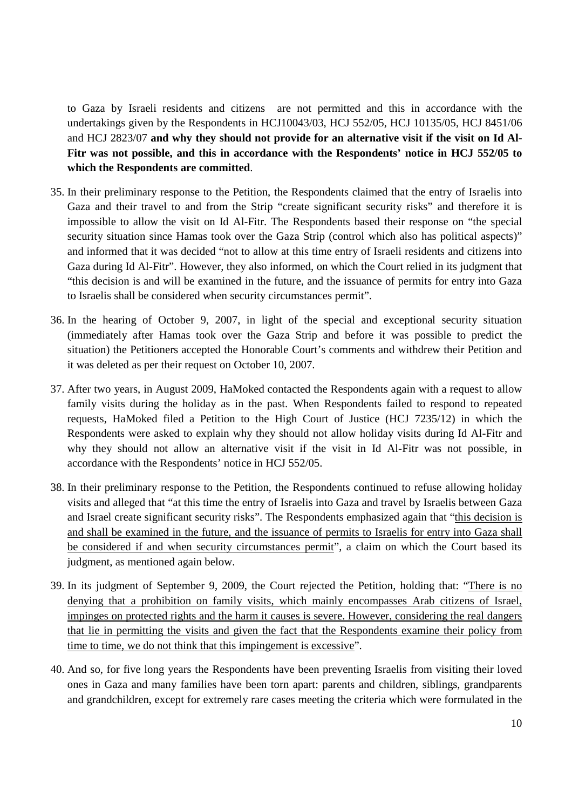to Gaza by Israeli residents and citizens are not permitted and this in accordance with the undertakings given by the Respondents in HCJ10043/03, HCJ 552/05, HCJ 10135/05, HCJ 8451/06 and HCJ 2823/07 **and why they should not provide for an alternative visit if the visit on Id Al-Fitr was not possible, and this in accordance with the Respondents' notice in HCJ 552/05 to which the Respondents are committed**.

- 35. In their preliminary response to the Petition, the Respondents claimed that the entry of Israelis into Gaza and their travel to and from the Strip "create significant security risks" and therefore it is impossible to allow the visit on Id Al-Fitr. The Respondents based their response on "the special security situation since Hamas took over the Gaza Strip (control which also has political aspects)" and informed that it was decided "not to allow at this time entry of Israeli residents and citizens into Gaza during Id Al-Fitr". However, they also informed, on which the Court relied in its judgment that "this decision is and will be examined in the future, and the issuance of permits for entry into Gaza to Israelis shall be considered when security circumstances permit".
- 36. In the hearing of October 9, 2007, in light of the special and exceptional security situation (immediately after Hamas took over the Gaza Strip and before it was possible to predict the situation) the Petitioners accepted the Honorable Court's comments and withdrew their Petition and it was deleted as per their request on October 10, 2007.
- 37. After two years, in August 2009, HaMoked contacted the Respondents again with a request to allow family visits during the holiday as in the past. When Respondents failed to respond to repeated requests, HaMoked filed a Petition to the High Court of Justice (HCJ 7235/12) in which the Respondents were asked to explain why they should not allow holiday visits during Id Al-Fitr and why they should not allow an alternative visit if the visit in Id Al-Fitr was not possible, in accordance with the Respondents' notice in HCJ 552/05.
- 38. In their preliminary response to the Petition, the Respondents continued to refuse allowing holiday visits and alleged that "at this time the entry of Israelis into Gaza and travel by Israelis between Gaza and Israel create significant security risks". The Respondents emphasized again that "this decision is and shall be examined in the future, and the issuance of permits to Israelis for entry into Gaza shall be considered if and when security circumstances permit", a claim on which the Court based its judgment, as mentioned again below.
- 39. In its judgment of September 9, 2009, the Court rejected the Petition, holding that: "There is no denying that a prohibition on family visits, which mainly encompasses Arab citizens of Israel, impinges on protected rights and the harm it causes is severe. However, considering the real dangers that lie in permitting the visits and given the fact that the Respondents examine their policy from time to time, we do not think that this impingement is excessive".
- 40. And so, for five long years the Respondents have been preventing Israelis from visiting their loved ones in Gaza and many families have been torn apart: parents and children, siblings, grandparents and grandchildren, except for extremely rare cases meeting the criteria which were formulated in the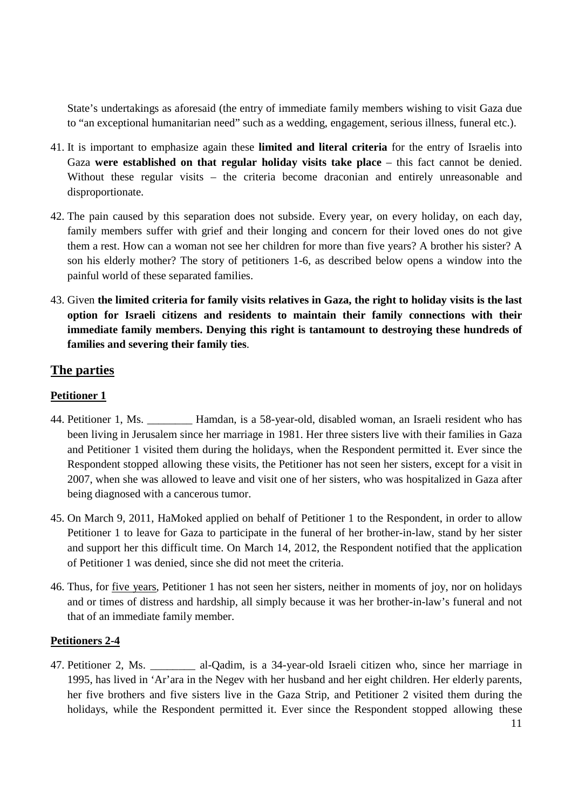State's undertakings as aforesaid (the entry of immediate family members wishing to visit Gaza due to "an exceptional humanitarian need" such as a wedding, engagement, serious illness, funeral etc.).

- 41. It is important to emphasize again these **limited and literal criteria** for the entry of Israelis into Gaza **were established on that regular holiday visits take place** – this fact cannot be denied. Without these regular visits – the criteria become draconian and entirely unreasonable and disproportionate.
- 42. The pain caused by this separation does not subside. Every year, on every holiday, on each day, family members suffer with grief and their longing and concern for their loved ones do not give them a rest. How can a woman not see her children for more than five years? A brother his sister? A son his elderly mother? The story of petitioners 1-6, as described below opens a window into the painful world of these separated families.
- 43. Given **the limited criteria for family visits relatives in Gaza, the right to holiday visits is the last option for Israeli citizens and residents to maintain their family connections with their immediate family members. Denying this right is tantamount to destroying these hundreds of families and severing their family ties**.

# **The parties**

## **Petitioner 1**

- 44. Petitioner 1, Ms. \_\_\_\_\_\_\_\_ Hamdan, is a 58-year-old, disabled woman, an Israeli resident who has been living in Jerusalem since her marriage in 1981. Her three sisters live with their families in Gaza and Petitioner 1 visited them during the holidays, when the Respondent permitted it. Ever since the Respondent stopped allowing these visits, the Petitioner has not seen her sisters, except for a visit in 2007, when she was allowed to leave and visit one of her sisters, who was hospitalized in Gaza after being diagnosed with a cancerous tumor.
- 45. On March 9, 2011, HaMoked applied on behalf of Petitioner 1 to the Respondent, in order to allow Petitioner 1 to leave for Gaza to participate in the funeral of her brother-in-law, stand by her sister and support her this difficult time. On March 14, 2012, the Respondent notified that the application of Petitioner 1 was denied, since she did not meet the criteria.
- 46. Thus, for five years, Petitioner 1 has not seen her sisters, neither in moments of joy, nor on holidays and or times of distress and hardship, all simply because it was her brother-in-law's funeral and not that of an immediate family member.

## **Petitioners 2-4**

47. Petitioner 2, Ms. \_\_\_\_\_\_\_\_ al-Qadim, is a 34-year-old Israeli citizen who, since her marriage in 1995, has lived in 'Ar'ara in the Negev with her husband and her eight children. Her elderly parents, her five brothers and five sisters live in the Gaza Strip, and Petitioner 2 visited them during the holidays, while the Respondent permitted it. Ever since the Respondent stopped allowing these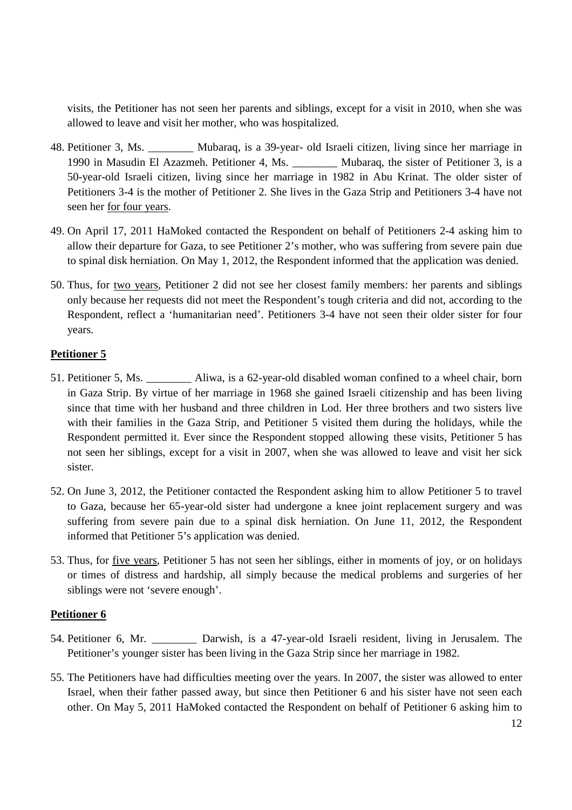visits, the Petitioner has not seen her parents and siblings, except for a visit in 2010, when she was allowed to leave and visit her mother, who was hospitalized.

- 48. Petitioner 3, Ms. Mubaraq, is a 39-year- old Israeli citizen, living since her marriage in 1990 in Masudin El Azazmeh. Petitioner 4, Ms. \_\_\_\_\_\_\_\_ Mubaraq, the sister of Petitioner 3, is a 50-year-old Israeli citizen, living since her marriage in 1982 in Abu Krinat. The older sister of Petitioners 3-4 is the mother of Petitioner 2. She lives in the Gaza Strip and Petitioners 3-4 have not seen her for four years.
- 49. On April 17, 2011 HaMoked contacted the Respondent on behalf of Petitioners 2-4 asking him to allow their departure for Gaza, to see Petitioner 2's mother, who was suffering from severe pain due to spinal disk herniation. On May 1, 2012, the Respondent informed that the application was denied.
- 50. Thus, for two years, Petitioner 2 did not see her closest family members: her parents and siblings only because her requests did not meet the Respondent's tough criteria and did not, according to the Respondent, reflect a 'humanitarian need'. Petitioners 3-4 have not seen their older sister for four years.

## **Petitioner 5**

- 51. Petitioner 5, Ms. Aliwa, is a 62-year-old disabled woman confined to a wheel chair, born in Gaza Strip. By virtue of her marriage in 1968 she gained Israeli citizenship and has been living since that time with her husband and three children in Lod. Her three brothers and two sisters live with their families in the Gaza Strip, and Petitioner 5 visited them during the holidays, while the Respondent permitted it. Ever since the Respondent stopped allowing these visits, Petitioner 5 has not seen her siblings, except for a visit in 2007, when she was allowed to leave and visit her sick sister.
- 52. On June 3, 2012, the Petitioner contacted the Respondent asking him to allow Petitioner 5 to travel to Gaza, because her 65-year-old sister had undergone a knee joint replacement surgery and was suffering from severe pain due to a spinal disk herniation. On June 11, 2012, the Respondent informed that Petitioner 5's application was denied.
- 53. Thus, for five years, Petitioner 5 has not seen her siblings, either in moments of joy, or on holidays or times of distress and hardship, all simply because the medical problems and surgeries of her siblings were not 'severe enough'.

## **Petitioner 6**

- 54. Petitioner 6, Mr. **Darwish, is a 47-year-old Israeli resident**, living in Jerusalem. The Petitioner's younger sister has been living in the Gaza Strip since her marriage in 1982.
- 55. The Petitioners have had difficulties meeting over the years. In 2007, the sister was allowed to enter Israel, when their father passed away, but since then Petitioner 6 and his sister have not seen each other. On May 5, 2011 HaMoked contacted the Respondent on behalf of Petitioner 6 asking him to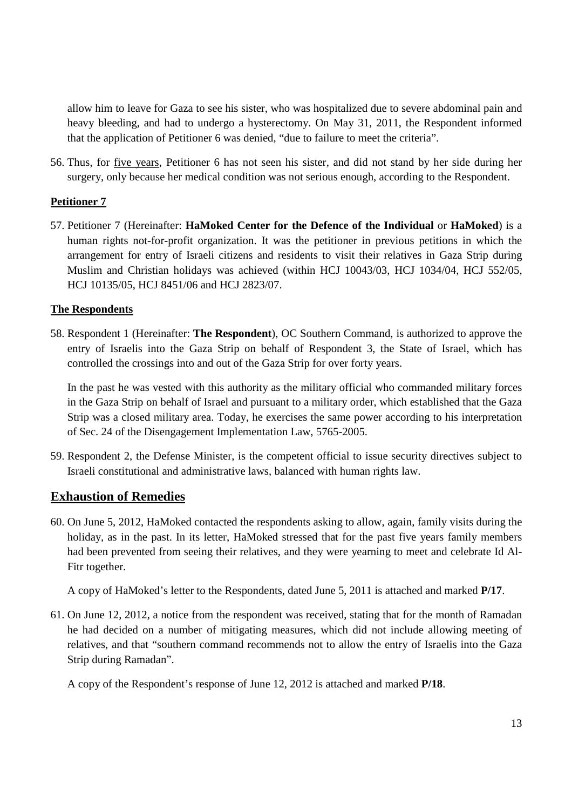allow him to leave for Gaza to see his sister, who was hospitalized due to severe abdominal pain and heavy bleeding, and had to undergo a hysterectomy. On May 31, 2011, the Respondent informed that the application of Petitioner 6 was denied, "due to failure to meet the criteria".

56. Thus, for five years, Petitioner 6 has not seen his sister, and did not stand by her side during her surgery, only because her medical condition was not serious enough, according to the Respondent.

## **Petitioner 7**

57. Petitioner 7 (Hereinafter: **HaMoked Center for the Defence of the Individual** or **HaMoked**) is a human rights not-for-profit organization. It was the petitioner in previous petitions in which the arrangement for entry of Israeli citizens and residents to visit their relatives in Gaza Strip during Muslim and Christian holidays was achieved (within HCJ 10043/03, HCJ 1034/04, HCJ 552/05, HCJ 10135/05, HCJ 8451/06 and HCJ 2823/07.

## **The Respondents**

58. Respondent 1 (Hereinafter: **The Respondent**), OC Southern Command, is authorized to approve the entry of Israelis into the Gaza Strip on behalf of Respondent 3, the State of Israel, which has controlled the crossings into and out of the Gaza Strip for over forty years.

In the past he was vested with this authority as the military official who commanded military forces in the Gaza Strip on behalf of Israel and pursuant to a military order, which established that the Gaza Strip was a closed military area. Today, he exercises the same power according to his interpretation of Sec. 24 of the Disengagement Implementation Law, 5765-2005.

59. Respondent 2, the Defense Minister, is the competent official to issue security directives subject to Israeli constitutional and administrative laws, balanced with human rights law.

# **Exhaustion of Remedies**

60. On June 5, 2012, HaMoked contacted the respondents asking to allow, again, family visits during the holiday, as in the past. In its letter, HaMoked stressed that for the past five years family members had been prevented from seeing their relatives, and they were yearning to meet and celebrate Id Al-Fitr together.

A copy of HaMoked's letter to the Respondents, dated June 5, 2011 is attached and marked **P/17**.

61. On June 12, 2012, a notice from the respondent was received, stating that for the month of Ramadan he had decided on a number of mitigating measures, which did not include allowing meeting of relatives, and that "southern command recommends not to allow the entry of Israelis into the Gaza Strip during Ramadan".

A copy of the Respondent's response of June 12, 2012 is attached and marked **P/18**.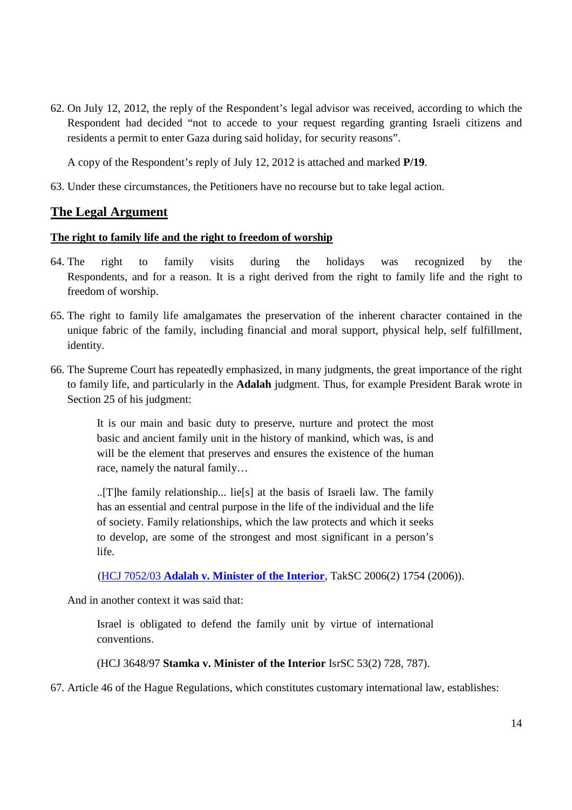62. On July 12, 2012, the reply of the Respondent's legal advisor was received, according to which the Respondent had decided "not to accede to your request regarding granting Israeli citizens and residents a permit to enter Gaza during said holiday, for security reasons".

A copy of the Respondent's reply of July 12, 2012 is attached and marked **P/19**.

63. Under these circumstances, the Petitioners have no recourse but to take legal action.

# **The Legal Argument**

## **The right to family life and the right to freedom of worship**

- 64. The right to family visits during the holidays was recognized by the Respondents, and for a reason. It is a right derived from the right to family life and the right to freedom of worship.
- 65. The right to family life amalgamates the preservation of the inherent character contained in the unique fabric of the family, including financial and moral support, physical help, self fulfillment, identity.
- 66. The Supreme Court has repeatedly emphasized, in many judgments, the great importance of the right to family life, and particularly in the **Adalah** judgment. Thus, for example President Barak wrote in Section 25 of his judgment:

It is our main and basic duty to preserve, nurture and protect the most basic and ancient family unit in the history of mankind, which was, is and will be the element that preserves and ensures the existence of the human race, namely the natural family…

..[T]he family relationship... lie[s] at the basis of Israeli law. The family has an essential and central purpose in the life of the individual and the life of society. Family relationships, which the law protects and which it seeks to develop, are some of the strongest and most significant in a person's life.

(HCJ 7052/03 **Adalah v. Minister of the Interior**, TakSC 2006(2) 1754 (2006)).

And in another context it was said that:

Israel is obligated to defend the family unit by virtue of international conventions.

(HCJ 3648/97 **Stamka v. Minister of the Interior** IsrSC 53(2) 728, 787).

67. Article 46 of the Hague Regulations, which constitutes customary international law, establishes: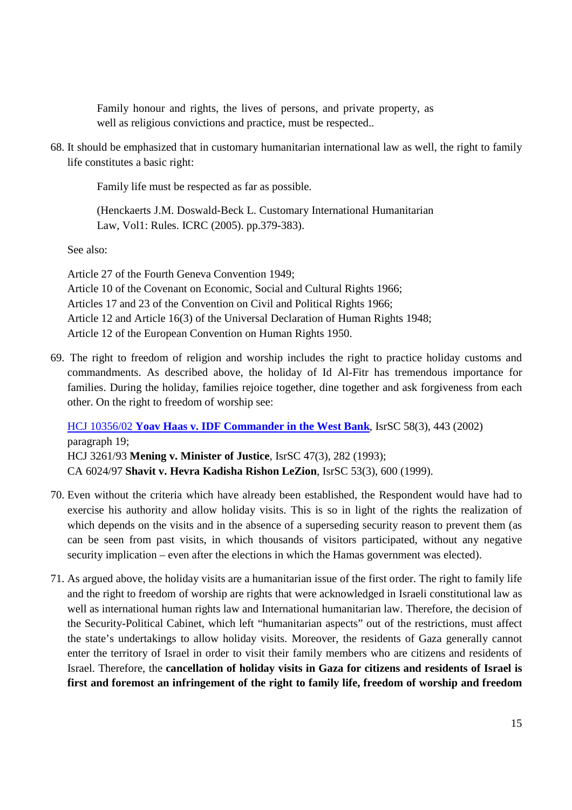Family honour and rights, the lives of persons, and private property, as well as religious convictions and practice, must be respected..

68. It should be emphasized that in customary humanitarian international law as well, the right to family life constitutes a basic right:

Family life must be respected as far as possible.

(Henckaerts J.M. Doswald-Beck L. Customary International Humanitarian Law, Vol1: Rules. ICRC (2005). pp.379-383).

See also:

Article 27 of the Fourth Geneva Convention 1949; Article 10 of the Covenant on Economic, Social and Cultural Rights 1966; Articles 17 and 23 of the Convention on Civil and Political Rights 1966; Article 12 and Article 16(3) of the Universal Declaration of Human Rights 1948; Article 12 of the European Convention on Human Rights 1950.

69. The right to freedom of religion and worship includes the right to practice holiday customs and commandments. As described above, the holiday of Id Al-Fitr has tremendous importance for families. During the holiday, families rejoice together, dine together and ask forgiveness from each other. On the right to freedom of worship see:

HCJ 10356/02 **Yoav Haas v. IDF Commander in the West Bank**, IsrSC 58(3), 443 (2002) paragraph 19; HCJ 3261/93 **Mening v. Minister of Justice**, IsrSC 47(3), 282 (1993); CA 6024/97 **Shavit v. Hevra Kadisha Rishon LeZion**, IsrSC 53(3), 600 (1999).

- 70. Even without the criteria which have already been established, the Respondent would have had to exercise his authority and allow holiday visits. This is so in light of the rights the realization of which depends on the visits and in the absence of a superseding security reason to prevent them (as can be seen from past visits, in which thousands of visitors participated, without any negative security implication – even after the elections in which the Hamas government was elected).
- 71. As argued above, the holiday visits are a humanitarian issue of the first order. The right to family life and the right to freedom of worship are rights that were acknowledged in Israeli constitutional law as well as international human rights law and International humanitarian law. Therefore, the decision of the Security-Political Cabinet, which left "humanitarian aspects" out of the restrictions, must affect the state's undertakings to allow holiday visits. Moreover, the residents of Gaza generally cannot enter the territory of Israel in order to visit their family members who are citizens and residents of Israel. Therefore, the **cancellation of holiday visits in Gaza for citizens and residents of Israel is first and foremost an infringement of the right to family life, freedom of worship and freedom**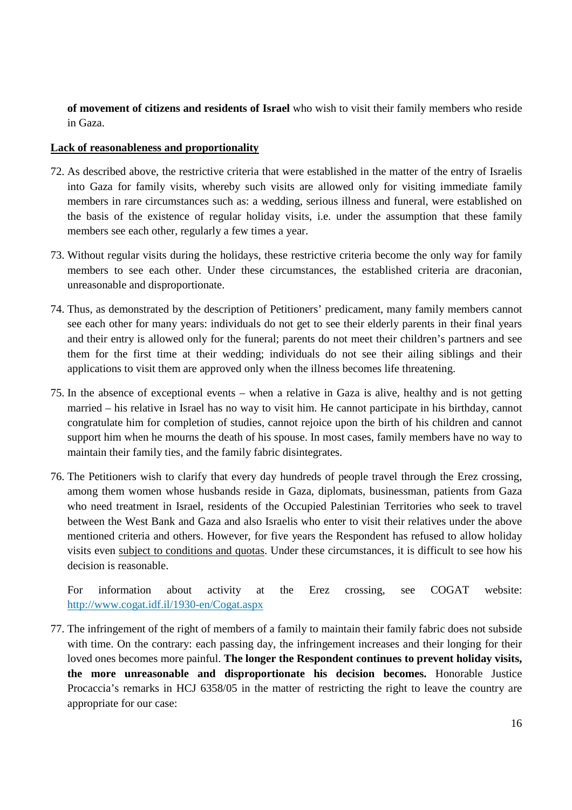**of movement of citizens and residents of Israel** who wish to visit their family members who reside in Gaza.

## **Lack of reasonableness and proportionality**

- 72. As described above, the restrictive criteria that were established in the matter of the entry of Israelis into Gaza for family visits, whereby such visits are allowed only for visiting immediate family members in rare circumstances such as: a wedding, serious illness and funeral, were established on the basis of the existence of regular holiday visits, i.e. under the assumption that these family members see each other, regularly a few times a year.
- 73. Without regular visits during the holidays, these restrictive criteria become the only way for family members to see each other. Under these circumstances, the established criteria are draconian, unreasonable and disproportionate.
- 74. Thus, as demonstrated by the description of Petitioners' predicament, many family members cannot see each other for many years: individuals do not get to see their elderly parents in their final years and their entry is allowed only for the funeral; parents do not meet their children's partners and see them for the first time at their wedding; individuals do not see their ailing siblings and their applications to visit them are approved only when the illness becomes life threatening.
- 75. In the absence of exceptional events when a relative in Gaza is alive, healthy and is not getting married – his relative in Israel has no way to visit him. He cannot participate in his birthday, cannot congratulate him for completion of studies, cannot rejoice upon the birth of his children and cannot support him when he mourns the death of his spouse. In most cases, family members have no way to maintain their family ties, and the family fabric disintegrates.
- 76. The Petitioners wish to clarify that every day hundreds of people travel through the Erez crossing, among them women whose husbands reside in Gaza, diplomats, businessman, patients from Gaza who need treatment in Israel, residents of the Occupied Palestinian Territories who seek to travel between the West Bank and Gaza and also Israelis who enter to visit their relatives under the above mentioned criteria and others. However, for five years the Respondent has refused to allow holiday visits even subject to conditions and quotas. Under these circumstances, it is difficult to see how his decision is reasonable.

For information about activity at the Erez crossing, see COGAT website: http://www.cogat.idf.il/1930-en/Cogat.aspx

77. The infringement of the right of members of a family to maintain their family fabric does not subside with time. On the contrary: each passing day, the infringement increases and their longing for their loved ones becomes more painful. **The longer the Respondent continues to prevent holiday visits, the more unreasonable and disproportionate his decision becomes.** Honorable Justice Procaccia's remarks in HCJ 6358/05 in the matter of restricting the right to leave the country are appropriate for our case: